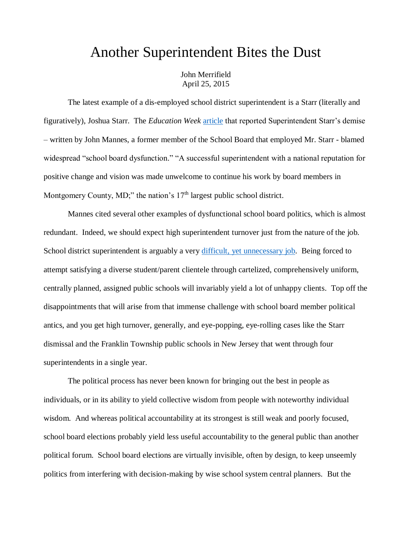## Another Superintendent Bites the Dust

John Merrifield April 25, 2015

The latest example of a dis-employed school district superintendent is a Starr (literally and figuratively), Joshua Starr. The *Education Week* [article](http://www.edweek.org/ew/articles/2015/03/04/the-problem-with-our-school-boards.html?qs=The+Fault+in+our+School+Boards) that reported Superintendent Starr's demise – written by John Mannes, a former member of the School Board that employed Mr. Starr - blamed widespread "school board dysfunction." "A successful superintendent with a national reputation for positive change and vision was made unwelcome to continue his work by board members in Montgomery County, MD;" the nation's  $17<sup>th</sup>$  largest public school district.

Mannes cited several other examples of dysfunctional school board politics, which is almost redundant. Indeed, we should expect high superintendent turnover just from the nature of the job. School district superintendent is arguably a very [difficult, yet unnecessary job.](http://www.schoolsystemreformstudies.net/wp-content/uploads/2016/11/School-District-Superintendent.pdf) Being forced to attempt satisfying a diverse student/parent clientele through cartelized, comprehensively uniform, centrally planned, assigned public schools will invariably yield a lot of unhappy clients. Top off the disappointments that will arise from that immense challenge with school board member political antics, and you get high turnover, generally, and eye-popping, eye-rolling cases like the Starr dismissal and the Franklin Township public schools in New Jersey that went through four superintendents in a single year.

The political process has never been known for bringing out the best in people as individuals, or in its ability to yield collective wisdom from people with noteworthy individual wisdom. And whereas political accountability at its strongest is still weak and poorly focused, school board elections probably yield less useful accountability to the general public than another political forum. School board elections are virtually invisible, often by design, to keep unseemly politics from interfering with decision-making by wise school system central planners. But the